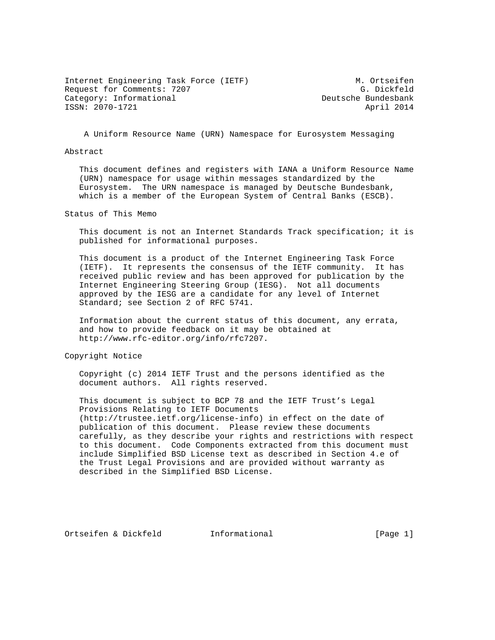Internet Engineering Task Force (IETF) M. Ortseifen Request for Comments: 7207 G. Dickfeld Category: Informational and Deutsche Bundesbank ISSN: 2070-1721 April 2014

A Uniform Resource Name (URN) Namespace for Eurosystem Messaging

## Abstract

 This document defines and registers with IANA a Uniform Resource Name (URN) namespace for usage within messages standardized by the Eurosystem. The URN namespace is managed by Deutsche Bundesbank, which is a member of the European System of Central Banks (ESCB).

Status of This Memo

 This document is not an Internet Standards Track specification; it is published for informational purposes.

 This document is a product of the Internet Engineering Task Force (IETF). It represents the consensus of the IETF community. It has received public review and has been approved for publication by the Internet Engineering Steering Group (IESG). Not all documents approved by the IESG are a candidate for any level of Internet Standard; see Section 2 of RFC 5741.

 Information about the current status of this document, any errata, and how to provide feedback on it may be obtained at http://www.rfc-editor.org/info/rfc7207.

Copyright Notice

 Copyright (c) 2014 IETF Trust and the persons identified as the document authors. All rights reserved.

 This document is subject to BCP 78 and the IETF Trust's Legal Provisions Relating to IETF Documents (http://trustee.ietf.org/license-info) in effect on the date of publication of this document. Please review these documents carefully, as they describe your rights and restrictions with respect to this document. Code Components extracted from this document must include Simplified BSD License text as described in Section 4.e of the Trust Legal Provisions and are provided without warranty as described in the Simplified BSD License.

Ortseifen & Dickfeld Informational [Page 1]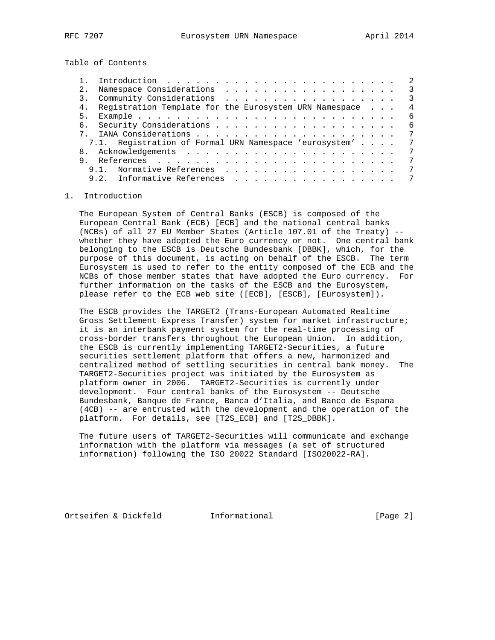Table of Contents

|          |                        |  |  |  |  |  |  | 2                                                                                                                                                                       |
|----------|------------------------|--|--|--|--|--|--|-------------------------------------------------------------------------------------------------------------------------------------------------------------------------|
|          |                        |  |  |  |  |  |  | 3                                                                                                                                                                       |
|          |                        |  |  |  |  |  |  | $\mathcal{R}$                                                                                                                                                           |
|          |                        |  |  |  |  |  |  | 4                                                                                                                                                                       |
|          |                        |  |  |  |  |  |  | 6                                                                                                                                                                       |
|          |                        |  |  |  |  |  |  | 6                                                                                                                                                                       |
|          |                        |  |  |  |  |  |  | 7                                                                                                                                                                       |
|          |                        |  |  |  |  |  |  | 7                                                                                                                                                                       |
|          |                        |  |  |  |  |  |  | 7                                                                                                                                                                       |
|          |                        |  |  |  |  |  |  |                                                                                                                                                                         |
|          |                        |  |  |  |  |  |  |                                                                                                                                                                         |
|          |                        |  |  |  |  |  |  |                                                                                                                                                                         |
| 2.<br>3. | 4.<br>5.<br>б.<br>9.1. |  |  |  |  |  |  | Registration Template for the Eurosystem URN Namespace<br>7.1. Registration of Formal URN Namespace 'eurosystem'<br>Normative References<br>9.2. Informative References |

## 1. Introduction

 The European System of Central Banks (ESCB) is composed of the European Central Bank (ECB) [ECB] and the national central banks (NCBs) of all 27 EU Member States (Article 107.01 of the Treaty) - whether they have adopted the Euro currency or not. One central bank belonging to the ESCB is Deutsche Bundesbank [DBBK], which, for the purpose of this document, is acting on behalf of the ESCB. The term Eurosystem is used to refer to the entity composed of the ECB and the NCBs of those member states that have adopted the Euro currency. For further information on the tasks of the ESCB and the Eurosystem, please refer to the ECB web site ([ECB], [ESCB], [Eurosystem]).

 The ESCB provides the TARGET2 (Trans-European Automated Realtime Gross Settlement Express Transfer) system for market infrastructure; it is an interbank payment system for the real-time processing of cross-border transfers throughout the European Union. In addition, the ESCB is currently implementing TARGET2-Securities, a future securities settlement platform that offers a new, harmonized and centralized method of settling securities in central bank money. The TARGET2-Securities project was initiated by the Eurosystem as platform owner in 2006. TARGET2-Securities is currently under development. Four central banks of the Eurosystem -- Deutsche Bundesbank, Banque de France, Banca d'Italia, and Banco de Espana (4CB) -- are entrusted with the development and the operation of the platform. For details, see [T2S\_ECB] and [T2S\_DBBK].

 The future users of TARGET2-Securities will communicate and exchange information with the platform via messages (a set of structured information) following the ISO 20022 Standard [ISO20022-RA].

Ortseifen & Dickfeld Informational [Page 2]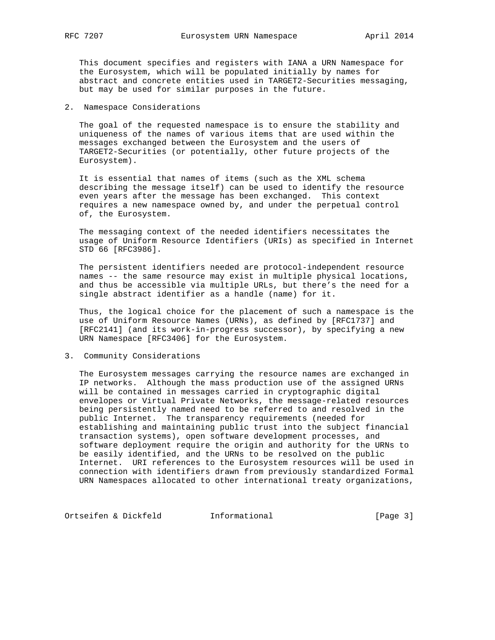This document specifies and registers with IANA a URN Namespace for the Eurosystem, which will be populated initially by names for abstract and concrete entities used in TARGET2-Securities messaging, but may be used for similar purposes in the future.

2. Namespace Considerations

 The goal of the requested namespace is to ensure the stability and uniqueness of the names of various items that are used within the messages exchanged between the Eurosystem and the users of TARGET2-Securities (or potentially, other future projects of the Eurosystem).

 It is essential that names of items (such as the XML schema describing the message itself) can be used to identify the resource even years after the message has been exchanged. This context requires a new namespace owned by, and under the perpetual control of, the Eurosystem.

 The messaging context of the needed identifiers necessitates the usage of Uniform Resource Identifiers (URIs) as specified in Internet STD 66 [RFC3986].

 The persistent identifiers needed are protocol-independent resource names -- the same resource may exist in multiple physical locations, and thus be accessible via multiple URLs, but there's the need for a single abstract identifier as a handle (name) for it.

 Thus, the logical choice for the placement of such a namespace is the use of Uniform Resource Names (URNs), as defined by [RFC1737] and [RFC2141] (and its work-in-progress successor), by specifying a new URN Namespace [RFC3406] for the Eurosystem.

3. Community Considerations

 The Eurosystem messages carrying the resource names are exchanged in IP networks. Although the mass production use of the assigned URNs will be contained in messages carried in cryptographic digital envelopes or Virtual Private Networks, the message-related resources being persistently named need to be referred to and resolved in the public Internet. The transparency requirements (needed for establishing and maintaining public trust into the subject financial transaction systems), open software development processes, and software deployment require the origin and authority for the URNs to be easily identified, and the URNs to be resolved on the public Internet. URI references to the Eurosystem resources will be used in connection with identifiers drawn from previously standardized Formal URN Namespaces allocated to other international treaty organizations,

Ortseifen & Dickfeld **Informational** [Page 3]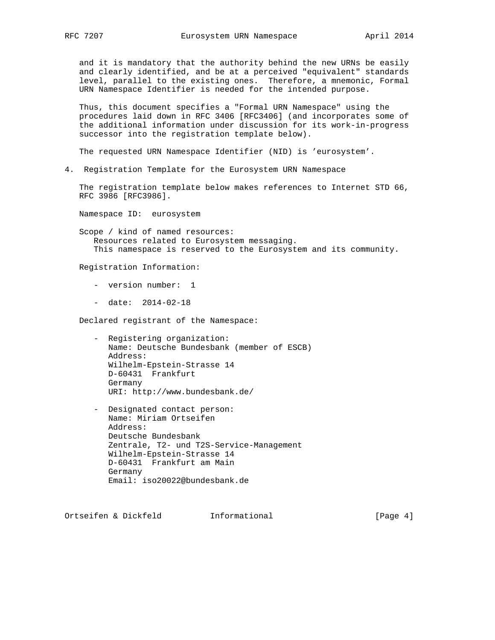and it is mandatory that the authority behind the new URNs be easily and clearly identified, and be at a perceived "equivalent" standards level, parallel to the existing ones. Therefore, a mnemonic, Formal URN Namespace Identifier is needed for the intended purpose.

 Thus, this document specifies a "Formal URN Namespace" using the procedures laid down in RFC 3406 [RFC3406] (and incorporates some of the additional information under discussion for its work-in-progress successor into the registration template below).

The requested URN Namespace Identifier (NID) is 'eurosystem'.

4. Registration Template for the Eurosystem URN Namespace

 The registration template below makes references to Internet STD 66, RFC 3986 [RFC3986].

Namespace ID: eurosystem

 Scope / kind of named resources: Resources related to Eurosystem messaging. This namespace is reserved to the Eurosystem and its community.

Registration Information:

- version number: 1
- date: 2014-02-18

Declared registrant of the Namespace:

- Registering organization: Name: Deutsche Bundesbank (member of ESCB) Address: Wilhelm-Epstein-Strasse 14 D-60431 Frankfurt Germany URI: http://www.bundesbank.de/
- Designated contact person: Name: Miriam Ortseifen Address: Deutsche Bundesbank Zentrale, T2- und T2S-Service-Management Wilhelm-Epstein-Strasse 14 D-60431 Frankfurt am Main Germany Email: iso20022@bundesbank.de

Ortseifen & Dickfeld Informational [Page 4]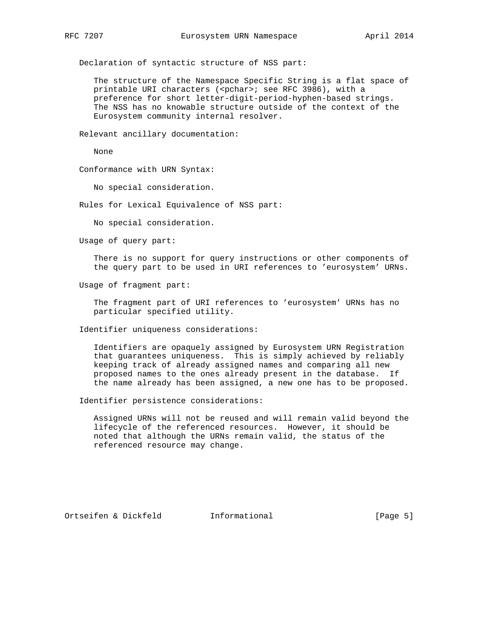Declaration of syntactic structure of NSS part:

 The structure of the Namespace Specific String is a flat space of printable URI characters (<pchar>; see RFC 3986), with a preference for short letter-digit-period-hyphen-based strings. The NSS has no knowable structure outside of the context of the Eurosystem community internal resolver.

Relevant ancillary documentation:

None

Conformance with URN Syntax:

No special consideration.

Rules for Lexical Equivalence of NSS part:

No special consideration.

Usage of query part:

 There is no support for query instructions or other components of the query part to be used in URI references to 'eurosystem' URNs.

Usage of fragment part:

 The fragment part of URI references to 'eurosystem' URNs has no particular specified utility.

Identifier uniqueness considerations:

 Identifiers are opaquely assigned by Eurosystem URN Registration that guarantees uniqueness. This is simply achieved by reliably keeping track of already assigned names and comparing all new proposed names to the ones already present in the database. If the name already has been assigned, a new one has to be proposed.

Identifier persistence considerations:

 Assigned URNs will not be reused and will remain valid beyond the lifecycle of the referenced resources. However, it should be noted that although the URNs remain valid, the status of the referenced resource may change.

Ortseifen & Dickfeld **Informational** [Page 5]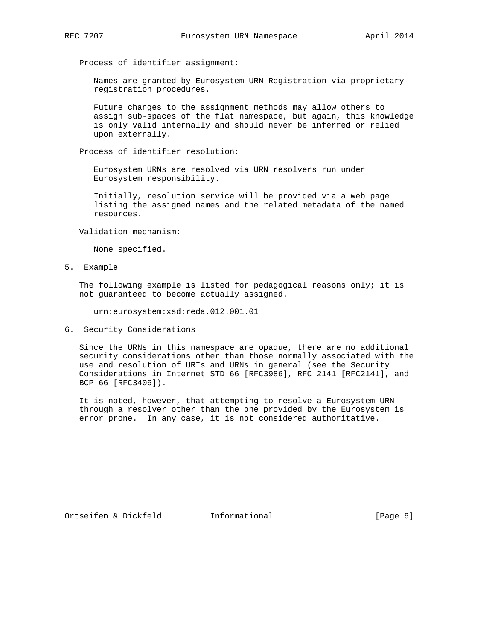Process of identifier assignment:

 Names are granted by Eurosystem URN Registration via proprietary registration procedures.

 Future changes to the assignment methods may allow others to assign sub-spaces of the flat namespace, but again, this knowledge is only valid internally and should never be inferred or relied upon externally.

Process of identifier resolution:

 Eurosystem URNs are resolved via URN resolvers run under Eurosystem responsibility.

 Initially, resolution service will be provided via a web page listing the assigned names and the related metadata of the named resources.

Validation mechanism:

None specified.

5. Example

 The following example is listed for pedagogical reasons only; it is not guaranteed to become actually assigned.

urn:eurosystem:xsd:reda.012.001.01

6. Security Considerations

 Since the URNs in this namespace are opaque, there are no additional security considerations other than those normally associated with the use and resolution of URIs and URNs in general (see the Security Considerations in Internet STD 66 [RFC3986], RFC 2141 [RFC2141], and BCP 66 [RFC3406]).

 It is noted, however, that attempting to resolve a Eurosystem URN through a resolver other than the one provided by the Eurosystem is error prone. In any case, it is not considered authoritative.

Ortseifen & Dickfeld **Informational** [Page 6]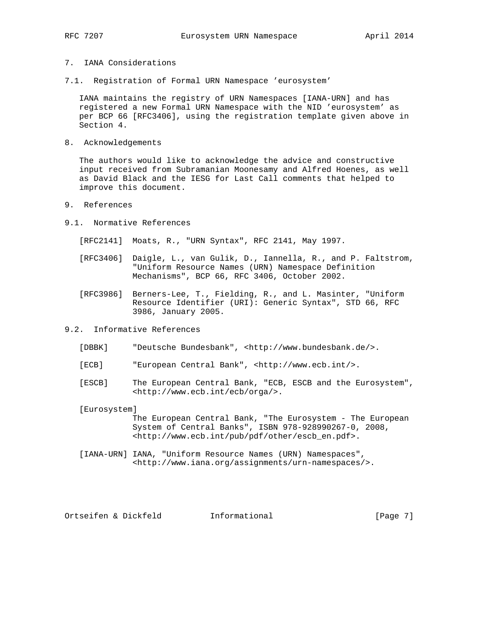## 7. IANA Considerations

7.1. Registration of Formal URN Namespace 'eurosystem'

 IANA maintains the registry of URN Namespaces [IANA-URN] and has registered a new Formal URN Namespace with the NID 'eurosystem' as per BCP 66 [RFC3406], using the registration template given above in Section 4.

8. Acknowledgements

 The authors would like to acknowledge the advice and constructive input received from Subramanian Moonesamy and Alfred Hoenes, as well as David Black and the IESG for Last Call comments that helped to improve this document.

- 9. References
- 9.1. Normative References

[RFC2141] Moats, R., "URN Syntax", RFC 2141, May 1997.

- [RFC3406] Daigle, L., van Gulik, D., Iannella, R., and P. Faltstrom, "Uniform Resource Names (URN) Namespace Definition Mechanisms", BCP 66, RFC 3406, October 2002.
- [RFC3986] Berners-Lee, T., Fielding, R., and L. Masinter, "Uniform Resource Identifier (URI): Generic Syntax", STD 66, RFC 3986, January 2005.
- 9.2. Informative References
	- [DBBK] "Deutsche Bundesbank", <http://www.bundesbank.de/>.
	- [ECB] "European Central Bank", <http://www.ecb.int/>.
	- [ESCB] The European Central Bank, "ECB, ESCB and the Eurosystem", <http://www.ecb.int/ecb/orga/>.

[Eurosystem]

 The European Central Bank, "The Eurosystem - The European System of Central Banks", ISBN 978-928990267-0, 2008, <http://www.ecb.int/pub/pdf/other/escb\_en.pdf>.

 [IANA-URN] IANA, "Uniform Resource Names (URN) Namespaces", <http://www.iana.org/assignments/urn-namespaces/>.

Ortseifen & Dickfeld Informational [Page 7]